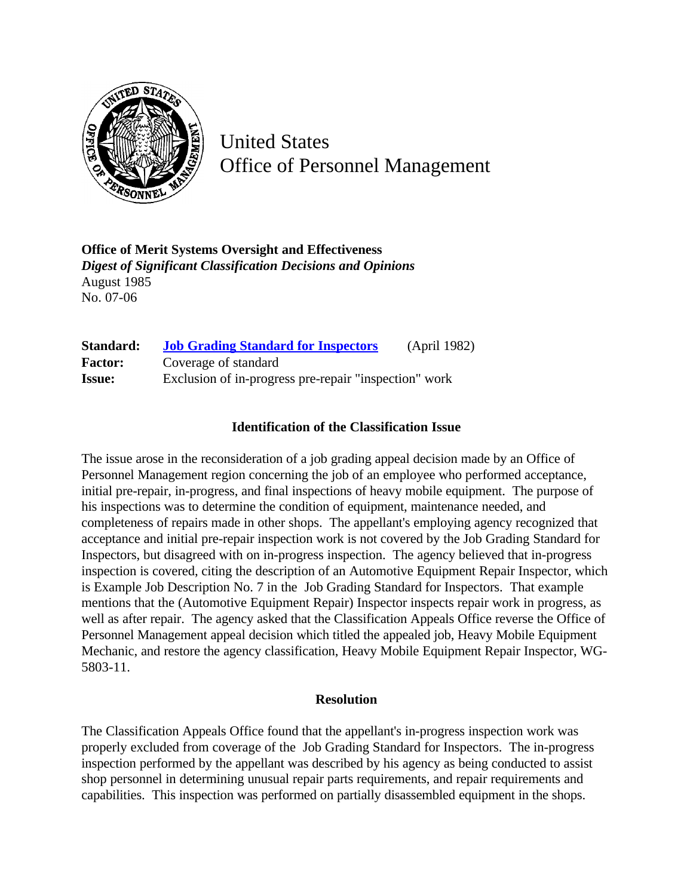

United States Office of Personnel Management

**Office of Merit Systems Oversight and Effectiveness** *Digest of Significant Classification Decisions and Opinions* August 1985 No. 07-06

| Standard:      | <b>Job Grading Standard for Inspectors</b>            | (April 1982) |
|----------------|-------------------------------------------------------|--------------|
| <b>Factor:</b> | Coverage of standard                                  |              |
| <b>Issue:</b>  | Exclusion of in-progress pre-repair "inspection" work |              |

## **Identification of the Classification Issue**

The issue arose in the reconsideration of a job grading appeal decision made by an Office of Personnel Management region concerning the job of an employee who performed acceptance, initial pre-repair, in-progress, and final inspections of heavy mobile equipment. The purpose of his inspections was to determine the condition of equipment, maintenance needed, and completeness of repairs made in other shops. The appellant's employing agency recognized that acceptance and initial pre-repair inspection work is not covered by the Job Grading Standard for Inspectors, but disagreed with on in-progress inspection. The agency believed that in-progress inspection is covered, citing the description of an Automotive Equipment Repair Inspector, which is Example Job Description No. 7 in the Job Grading Standard for Inspectors. That example mentions that the (Automotive Equipment Repair) Inspector inspects repair work in progress, as well as after repair. The agency asked that the Classification Appeals Office reverse the Office of Personnel Management appeal decision which titled the appealed job, Heavy Mobile Equipment Mechanic, and restore the agency classification, Heavy Mobile Equipment Repair Inspector, WG-5803-11.

## **Resolution**

The Classification Appeals Office found that the appellant's in-progress inspection work was properly excluded from coverage of the Job Grading Standard for Inspectors. The in-progress inspection performed by the appellant was described by his agency as being conducted to assist shop personnel in determining unusual repair parts requirements, and repair requirements and capabilities. This inspection was performed on partially disassembled equipment in the shops.